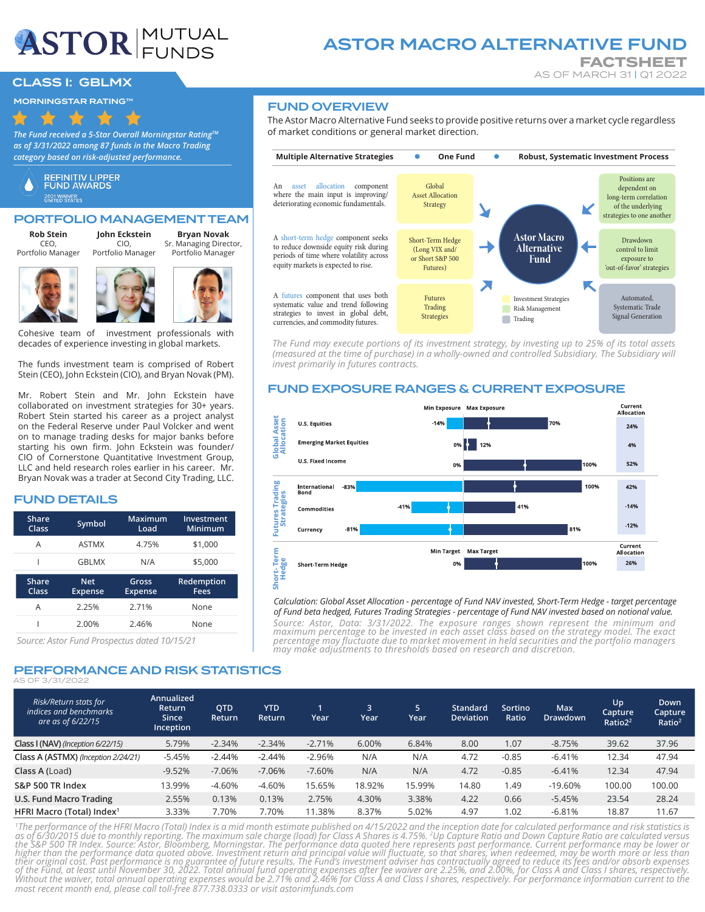# **ASTOR** FUNDS

# ASTOR MACRO ALTERNATIVE FUND

**FACTSHEET**<br>AS OF MARCH 31 | Q1 2022

# **CLASS I: GBLMX**

MORNINGSTAR RATING™

*The Fund received a 5-Star Overall Morningstar RatingTM as of 3/31/2022 among 87 funds in the Macro Trading category based on risk-adjusted performance.*



# PORTFOLIO MANAGEMENT TEAM

**Rob Stein** CEO,

**John Eckstein Bryan Novak**

Portfolio Manager

CIO, Portfolio Manager Sr. Managing Director, Portfolio Manager





Cohesive team of investment professionals with decades of experience investing in global markets.

The funds investment team is comprised of Robert Stein (CEO), John Eckstein (CIO), and Bryan Novak (PM).

Mr. Robert Stein and Mr. John Eckstein have collaborated on investment strategies for 30+ years. Robert Stein started his career as a project analyst on the Federal Reserve under Paul Volcker and went on to manage trading desks for major banks before starting his own firm. John Eckstein was founder/ CIO of Cornerstone Quantitative Investment Group, LLC and held research roles earlier in his career. Mr. Bryan Novak was a trader at Second City Trading, LLC.

# FUND DETAILS

| Share<br>Class | Symbol                       | Maximum<br>Load         | Investment<br>Minimum |
|----------------|------------------------------|-------------------------|-----------------------|
| А              | <b>ASTMX</b>                 | 4.75%                   | \$1,000               |
|                | <b>GBLMX</b>                 | N/A                     | \$5,000               |
|                |                              |                         |                       |
| Share<br>Class | <b>Net</b><br><b>Expense</b> | Gross<br><b>Expense</b> | Redemption<br>Fees    |
| A              | 2.25%                        | 2.71%                   | None                  |

*Source: Astor Fund Prospectus dated 10/15/21*

# PERFORMANCE AND RISK STATISTICS AS OF 3/31/2022

**Annualized Return Since Inception QTD Return YTD Return 1 Year 3 Year 5 Year Standard Deviation Sortino Ratio Max Drawdown Up Capture Ratio22 Down Capture Ratio2 Class I (NAV)** *(Inception 6/22/15)* 5.79% -2.34% -2.34% -2.71% 6.00% 6.84% 8.00 1.07 -8.75% 39.62 37.96 **Class A (ASTMX)** *(Inception 2/24/21)* -5.45% -2.44% -2.44% -2.96% N/A N/A 4.72 -0.85 -6.41% 12.34 47.94 **Class A (**Load**)** -9.52% -7.06% -7.06% -7.60% N/A N/A 4.72 -0.85 -6.41% 12.34 47.94 **S&P 500 TR Index** 13.99% -4.60% -4.60% 15.65% 18.92% 15.99% 14.80 1.49 -19.60% 100.00 100.00 **U.S. Fund Macro Trading** 2.55% 0.13% 0.13% 2.75% 4.30% 3.38% 4.22 0.66 -5.45% 23.54 28.24 **HFRI Macro (Total) Index1** 3.33% 7.70% 7.70% 11.38% 8.37% 5.02% 4.97 1.02 -6.81% 18.87 11.67 *Risk/Return stats for indices and benchmarks are as of 6/22/15*

*1 The performance of the HFRI Macro (Total) Index is a mid month estimate published on 4/15/2022 and the inception date for calculated performance and risk statistics is*  as of 6/30/2015 due to monthly reporting. The maximum sale charge (load) for Class A Shares is 4.75%. <sup>2</sup>Up Capture Ratio and Down Capture Ratio are calculated versus<br>the S&P 500 TR Index. Source: Astor, Bloomberg, Morning *most recent month end, please call toll-free 877.738.0333 or visit astorimfunds.com*

# FUND OVERVIEW

The Astor Macro Alternative Fund seeks to provide positive returns over a market cycle regardless of market conditions or general market direction.



*The Fund may execute portions of its investment strategy, by investing up to 25% of its total assets (measured at the time of purchase) in a wholly-owned and controlled Subsidiary. The Subsidiary will invest primarily in futures contracts.* 

# FUND EXPOSURE RANGES & CURRENT EXPOSURE



*Calculation: Global Asset Allocation - percentage of Fund NAV invested, Short-Term Hedge - target percentage of Fund beta hedged, Futures Trading Strategies - percentage of Fund NAV invested based on notional value.*

*Source: Astor, Data: 3/31/2022. The exposure ranges shown represent the minimum and maximum percentage to be invested in each asset class based on the strategy model. The exact percentage may fluctuate due to market movement in held securities and the portfolio managers may make adjustments to thresholds based on research and discretion.*